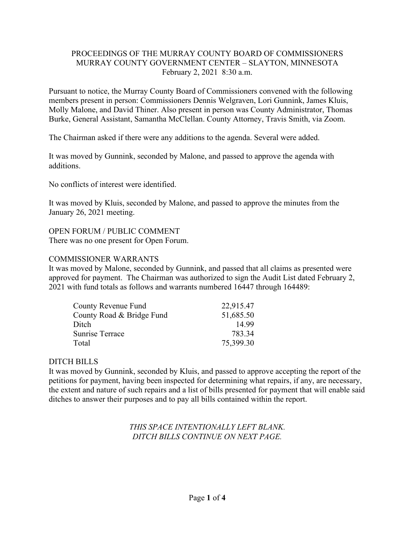# PROCEEDINGS OF THE MURRAY COUNTY BOARD OF COMMISSIONERS MURRAY COUNTY GOVERNMENT CENTER – SLAYTON, MINNESOTA February 2, 2021 8:30 a.m.

Pursuant to notice, the Murray County Board of Commissioners convened with the following members present in person: Commissioners Dennis Welgraven, Lori Gunnink, James Kluis, Molly Malone, and David Thiner. Also present in person was County Administrator, Thomas Burke, General Assistant, Samantha McClellan. County Attorney, Travis Smith, via Zoom.

The Chairman asked if there were any additions to the agenda. Several were added.

It was moved by Gunnink, seconded by Malone, and passed to approve the agenda with additions.

No conflicts of interest were identified.

It was moved by Kluis, seconded by Malone, and passed to approve the minutes from the January 26, 2021 meeting.

### OPEN FORUM / PUBLIC COMMENT

There was no one present for Open Forum.

### COMMISSIONER WARRANTS

It was moved by Malone, seconded by Gunnink, and passed that all claims as presented were approved for payment. The Chairman was authorized to sign the Audit List dated February 2, 2021 with fund totals as follows and warrants numbered 16447 through 164489:

| County Revenue Fund       | 22,915.47 |
|---------------------------|-----------|
| County Road & Bridge Fund | 51,685.50 |
| Ditch                     | 14.99     |
| Sunrise Terrace           | 783.34    |
| Total                     | 75,399.30 |

# DITCH BILLS

It was moved by Gunnink, seconded by Kluis, and passed to approve accepting the report of the petitions for payment, having been inspected for determining what repairs, if any, are necessary, the extent and nature of such repairs and a list of bills presented for payment that will enable said ditches to answer their purposes and to pay all bills contained within the report.

# *THIS SPACE INTENTIONALLY LEFT BLANK. DITCH BILLS CONTINUE ON NEXT PAGE.*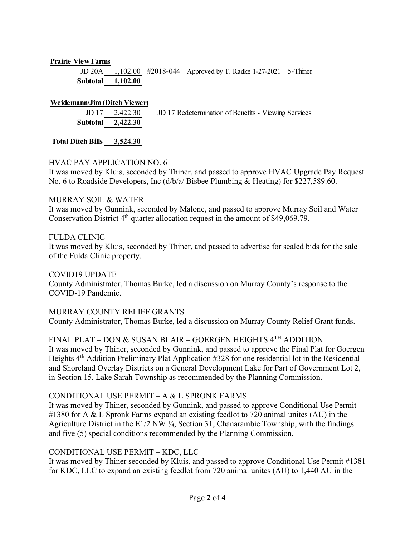#### **Prairie View Farms**

JD 20A 1,102.00 #2018-044 Approved by T. Radke 1-27-2021 5-Thiner **Subtotal 1,102.00**

#### **Weidemann/Jim (Ditch Viewer)**

| $JD 17$ 2,422.30  | JD 17 Redetermination of Benefits - Viewing Services |
|-------------------|------------------------------------------------------|
| Subtotal 2,422.30 |                                                      |

**Total Ditch Bills 3,524.30**

### HVAC PAY APPLICATION NO. 6

It was moved by Kluis, seconded by Thiner, and passed to approve HVAC Upgrade Pay Request No. 6 to Roadside Developers, Inc (d/b/a/ Bisbee Plumbing & Heating) for \$227,589.60.

#### MURRAY SOIL & WATER

It was moved by Gunnink, seconded by Malone, and passed to approve Murray Soil and Water Conservation District  $4<sup>th</sup>$  quarter allocation request in the amount of \$49,069.79.

### FULDA CLINIC

It was moved by Kluis, seconded by Thiner, and passed to advertise for sealed bids for the sale of the Fulda Clinic property.

COVID19 UPDATE County Administrator, Thomas Burke, led a discussion on Murray County's response to the COVID-19 Pandemic.

### MURRAY COUNTY RELIEF GRANTS

County Administrator, Thomas Burke, led a discussion on Murray County Relief Grant funds.

### FINAL PLAT – DON & SUSAN BLAIR – GOERGEN HEIGHTS 4TH ADDITION

It was moved by Thiner, seconded by Gunnink, and passed to approve the Final Plat for Goergen Heights 4<sup>th</sup> Addition Preliminary Plat Application #328 for one residential lot in the Residential and Shoreland Overlay Districts on a General Development Lake for Part of Government Lot 2, in Section 15, Lake Sarah Township as recommended by the Planning Commission.

### CONDITIONAL USE PERMIT – A & L SPRONK FARMS

It was moved by Thiner, seconded by Gunnink, and passed to approve Conditional Use Permit #1380 for A & L Spronk Farms expand an existing feedlot to 720 animal unites (AU) in the Agriculture District in the E1/2 NW ¼, Section 31, Chanarambie Township, with the findings and five (5) special conditions recommended by the Planning Commission.

### CONDITIONAL USE PERMIT – KDC, LLC

It was moved by Thiner seconded by Kluis, and passed to approve Conditional Use Permit #1381 for KDC, LLC to expand an existing feedlot from 720 animal unites (AU) to 1,440 AU in the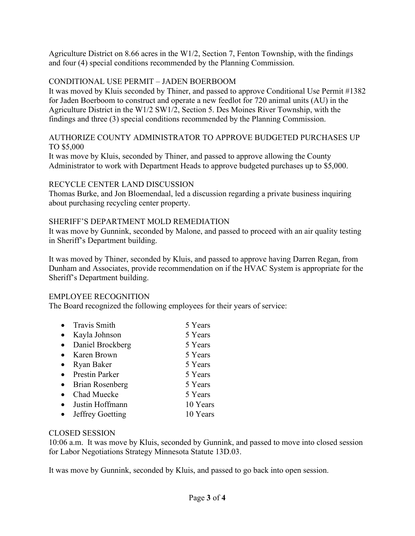Agriculture District on 8.66 acres in the W1/2, Section 7, Fenton Township, with the findings and four (4) special conditions recommended by the Planning Commission.

# CONDITIONAL USE PERMIT – JADEN BOERBOOM

It was moved by Kluis seconded by Thiner, and passed to approve Conditional Use Permit #1382 for Jaden Boerboom to construct and operate a new feedlot for 720 animal units (AU) in the Agriculture District in the W1/2 SW1/2, Section 5. Des Moines River Township, with the findings and three (3) special conditions recommended by the Planning Commission.

# AUTHORIZE COUNTY ADMINISTRATOR TO APPROVE BUDGETED PURCHASES UP TO \$5,000

It was move by Kluis, seconded by Thiner, and passed to approve allowing the County Administrator to work with Department Heads to approve budgeted purchases up to \$5,000.

### RECYCLE CENTER LAND DISCUSSION

Thomas Burke, and Jon Bloemendaal, led a discussion regarding a private business inquiring about purchasing recycling center property.

# SHERIFF'S DEPARTMENT MOLD REMEDIATION

It was move by Gunnink, seconded by Malone, and passed to proceed with an air quality testing in Sheriff's Department building.

It was moved by Thiner, seconded by Kluis, and passed to approve having Darren Regan, from Dunham and Associates, provide recommendation on if the HVAC System is appropriate for the Sheriff's Department building.

# EMPLOYEE RECOGNITION

The Board recognized the following employees for their years of service:

- Travis Smith 5 Years
- Kayla Johnson 5 Years
- Daniel Brockberg 5 Years
- Karen Brown 5 Years
- Ryan Baker 5 Years
- Prestin Parker 5 Years
- Brian Rosenberg 5 Years
- Chad Muecke 5 Years
- Justin Hoffmann 10 Years
- Jeffrey Goetting 10 Years

# CLOSED SESSION

10:06 a.m. It was move by Kluis, seconded by Gunnink, and passed to move into closed session for Labor Negotiations Strategy Minnesota Statute 13D.03.

It was move by Gunnink, seconded by Kluis, and passed to go back into open session.